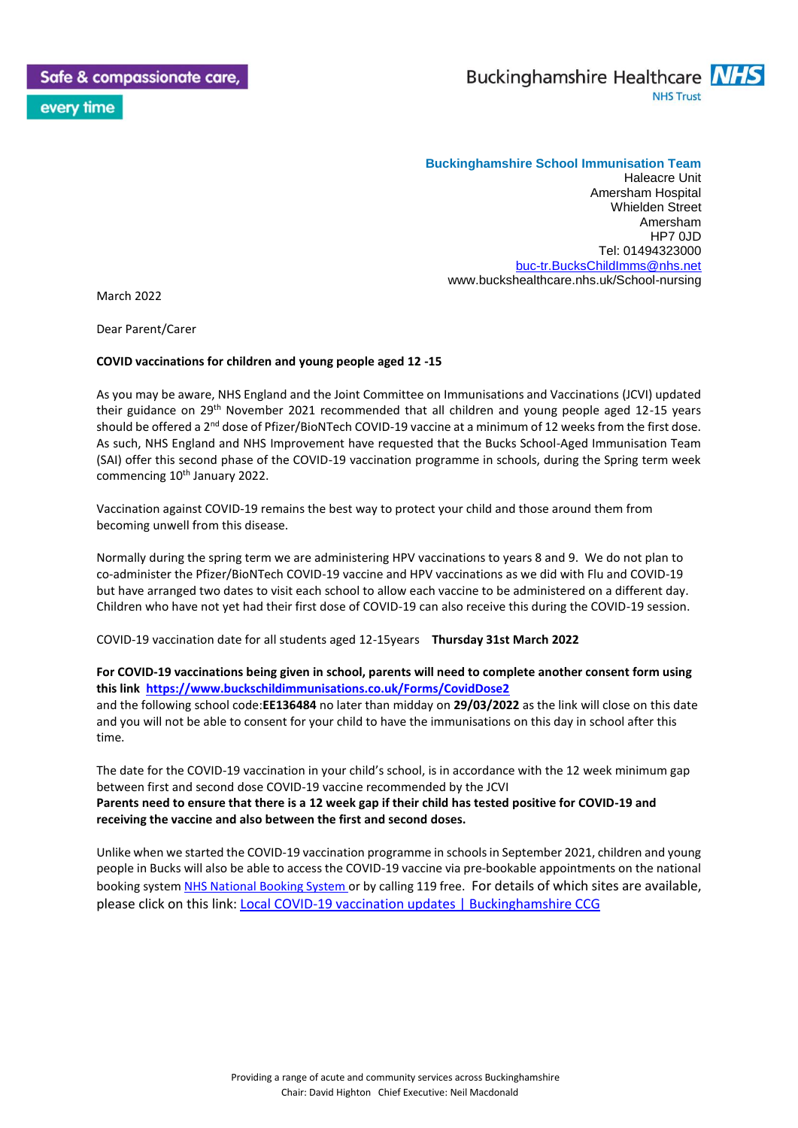every time



## **Buckinghamshire School Immunisation Team**

Haleacre Unit Amersham Hospital Whielden Street Amersham HP7 0JD Tel: 01494323000 [buc-tr.BucksChildImms@nhs.net](mailto:buc-tr.BucksChildImms@nhs.net) www.buckshealthcare.nhs.uk/School-nursing

March 2022

Dear Parent/Carer

## **COVID vaccinations for children and young people aged 12 -15**

As you may be aware, NHS England and the Joint Committee on Immunisations and Vaccinations (JCVI) updated their guidance on 29th November 2021 recommended that all children and young people aged 12-15 years should be offered a 2<sup>nd</sup> dose of Pfizer/BioNTech COVID-19 vaccine at a minimum of 12 weeks from the first dose. As such, NHS England and NHS Improvement have requested that the Bucks School-Aged Immunisation Team (SAI) offer this second phase of the COVID-19 vaccination programme in schools, during the Spring term week commencing 10<sup>th</sup> January 2022.

Vaccination against COVID-19 remains the best way to protect your child and those around them from becoming unwell from this disease.

Normally during the spring term we are administering HPV vaccinations to years 8 and 9. We do not plan to co-administer the Pfizer/BioNTech COVID-19 vaccine and HPV vaccinations as we did with Flu and COVID-19 but have arranged two dates to visit each school to allow each vaccine to be administered on a different day. Children who have not yet had their first dose of COVID-19 can also receive this during the COVID-19 session.

COVID-19 vaccination date for all students aged 12-15years **Thursday 31st March 2022**

## **For COVID-19 vaccinations being given in school, parents will need to complete another consent form using this link <https://www.buckschildimmunisations.co.uk/Forms/CovidDose2>**

and the following school code:**EE136484** no later than midday on **29/03/2022** as the link will close on this date and you will not be able to consent for your child to have the immunisations on this day in school after this time.

The date for the COVID-19 vaccination in your child's school, is in accordance with the 12 week minimum gap between first and second dose COVID-19 vaccine recommended by the JCVI **Parents need to ensure that there is a 12 week gap if their child has tested positive for COVID-19 and receiving the vaccine and also between the first and second doses.**

Unlike when we started the COVID-19 vaccination programme in schools in September 2021, children and young people in Bucks will also be able to access the COVID-19 vaccine via pre-bookable appointments on the national booking syste[m NHS National Booking System](http://www.nhs.uk/conditions/coronavirus-covid-19/coronavirus-vaccination/book-coronavirus-vaccination/) or by calling 119 free. For details of which sites are available, please click on this link: [Local COVID-19 vaccination updates | Buckinghamshire CCG](https://www.buckinghamshireccg.nhs.uk/public/your-services/feeling-unwell/covid-19-vaccination-programme/local-covid-19-vaccination-updates/)